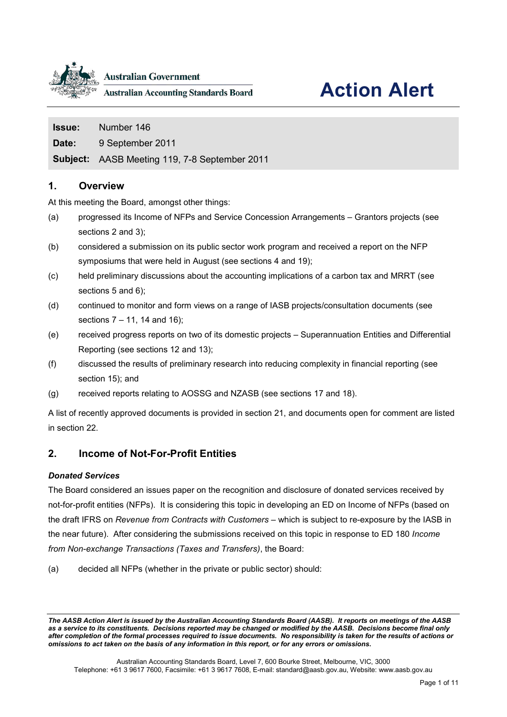

**Australian Government** 

**Australian Accounting Standards Board** 

# **Action Alert**

**Date:** 9 September 2011

**Subject:** AASB Meeting 119, 7-8 September 2011

# **1. Overview**

At this meeting the Board, amongst other things:

- (a) progressed its Income of NFPs and Service Concession Arrangements Grantors projects (see sections [2](#page-0-0) and [3\)](#page-1-0);
- (b) considered a submission on its public sector work program and received a report on the NFP symposiums that were held in August (see sections [4](#page-2-0) and [19\)](#page-7-0);
- (c) held preliminary discussions about the accounting implications of a carbon tax and MRRT (see sections [5](#page-2-1) and [6\)](#page-3-0);
- (d) continued to monitor and form views on a range of IASB projects/consultation documents (see sections [7](#page-3-1) – 11, [14](#page-5-0) and [16\)](#page-6-0);
- (e) received progress reports on two of its domestic projects Superannuation Entities and Differential Reporting (see sections [12](#page-5-1) and [13\)](#page-5-2);
- (f) discussed the results of preliminary research into reducing complexity in financial reporting (see section [15\)](#page-5-3); and
- (g) received reports relating to AOSSG and NZASB (see sections [17](#page-6-1) and [18\)](#page-6-2).

A list of recently approved documents is provided in section [21,](#page-7-1) and documents open for comment are listed in section [22.](#page-8-0)

# <span id="page-0-0"></span>**2. Income of Not-For-Profit Entities**

#### *Donated Services*

The Board considered an issues paper on the recognition and disclosure of donated services received by not-for-profit entities (NFPs). It is considering this topic in developing an ED on Income of NFPs (based on the draft IFRS on *Revenue from Contracts with Customers* – which is subject to re-exposure by the IASB in the near future). After considering the submissions received on this topic in response to ED 180 *Income from Non-exchange Transactions (Taxes and Transfers)*, the Board:

(a) decided all NFPs (whether in the private or public sector) should:

*The AASB Action Alert is issued by the Australian Accounting Standards Board (AASB). It reports on meetings of the AASB as a service to its constituents. Decisions reported may be changed or modified by the AASB. Decisions become final only after completion of the formal processes required to issue documents. No responsibility is taken for the results of actions or omissions to act taken on the basis of any information in this report, or for any errors or omissions***.**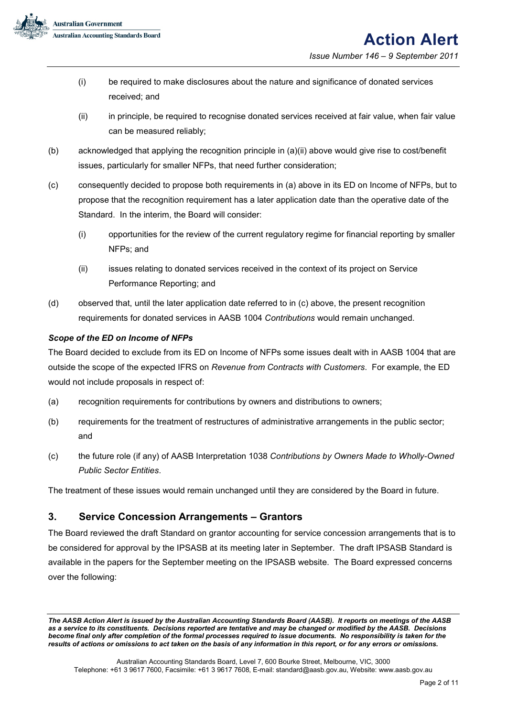

- (i) be required to make disclosures about the nature and significance of donated services received; and
- (ii) in principle, be required to recognise donated services received at fair value, when fair value can be measured reliably;
- (b) acknowledged that applying the recognition principle in (a)(ii) above would give rise to cost/benefit issues, particularly for smaller NFPs, that need further consideration;
- (c) consequently decided to propose both requirements in (a) above in its ED on Income of NFPs, but to propose that the recognition requirement has a later application date than the operative date of the Standard. In the interim, the Board will consider:
	- (i) opportunities for the review of the current regulatory regime for financial reporting by smaller NFPs; and
	- (ii) issues relating to donated services received in the context of its project on Service Performance Reporting; and
- (d) observed that, until the later application date referred to in (c) above, the present recognition requirements for donated services in AASB 1004 *Contributions* would remain unchanged.

#### *Scope of the ED on Income of NFPs*

The Board decided to exclude from its ED on Income of NFPs some issues dealt with in AASB 1004 that are outside the scope of the expected IFRS on *Revenue from Contracts with Customers*. For example, the ED would not include proposals in respect of:

- (a) recognition requirements for contributions by owners and distributions to owners;
- (b) requirements for the treatment of restructures of administrative arrangements in the public sector; and
- (c) the future role (if any) of AASB Interpretation 1038 *Contributions by Owners Made to Wholly-Owned Public Sector Entities*.

The treatment of these issues would remain unchanged until they are considered by the Board in future.

# <span id="page-1-0"></span>**3. Service Concession Arrangements – Grantors**

The Board reviewed the draft Standard on grantor accounting for service concession arrangements that is to be considered for approval by the IPSASB at its meeting later in September. The draft IPSASB Standard is available in the papers for the September meeting on the IPSASB website. The Board expressed concerns over the following:

*The AASB Action Alert is issued by the Australian Accounting Standards Board (AASB). It reports on meetings of the AASB as a service to its constituents. Decisions reported are tentative and may be changed or modified by the AASB. Decisions become final only after completion of the formal processes required to issue documents. No responsibility is taken for the results of actions or omissions to act taken on the basis of any information in this report, or for any errors or omissions***.**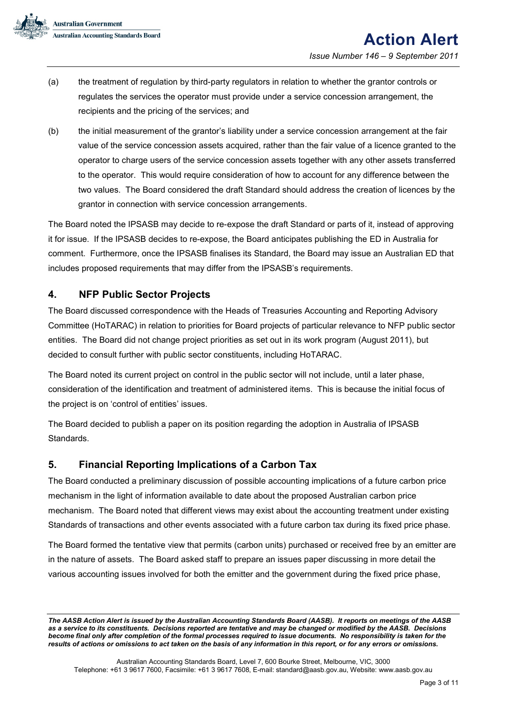- (a) the treatment of regulation by third-party regulators in relation to whether the grantor controls or regulates the services the operator must provide under a service concession arrangement, the recipients and the pricing of the services; and
- (b) the initial measurement of the grantor's liability under a service concession arrangement at the fair value of the service concession assets acquired, rather than the fair value of a licence granted to the operator to charge users of the service concession assets together with any other assets transferred to the operator. This would require consideration of how to account for any difference between the two values. The Board considered the draft Standard should address the creation of licences by the grantor in connection with service concession arrangements.

The Board noted the IPSASB may decide to re-expose the draft Standard or parts of it, instead of approving it for issue. If the IPSASB decides to re-expose, the Board anticipates publishing the ED in Australia for comment. Furthermore, once the IPSASB finalises its Standard, the Board may issue an Australian ED that includes proposed requirements that may differ from the IPSASB's requirements.

# <span id="page-2-0"></span>**4. NFP Public Sector Projects**

The Board discussed correspondence with the Heads of Treasuries Accounting and Reporting Advisory Committee (HoTARAC) in relation to priorities for Board projects of particular relevance to NFP public sector entities. The Board did not change project priorities as set out in its work program (August 2011), but decided to consult further with public sector constituents, including HoTARAC.

The Board noted its current project on control in the public sector will not include, until a later phase, consideration of the identification and treatment of administered items. This is because the initial focus of the project is on 'control of entities' issues.

The Board decided to publish a paper on its position regarding the adoption in Australia of IPSASB Standards.

# <span id="page-2-1"></span>**5. Financial Reporting Implications of a Carbon Tax**

The Board conducted a preliminary discussion of possible accounting implications of a future carbon price mechanism in the light of information available to date about the proposed Australian carbon price mechanism. The Board noted that different views may exist about the accounting treatment under existing Standards of transactions and other events associated with a future carbon tax during its fixed price phase.

The Board formed the tentative view that permits (carbon units) purchased or received free by an emitter are in the nature of assets. The Board asked staff to prepare an issues paper discussing in more detail the various accounting issues involved for both the emitter and the government during the fixed price phase,

*The AASB Action Alert is issued by the Australian Accounting Standards Board (AASB). It reports on meetings of the AASB as a service to its constituents. Decisions reported are tentative and may be changed or modified by the AASB. Decisions become final only after completion of the formal processes required to issue documents. No responsibility is taken for the results of actions or omissions to act taken on the basis of any information in this report, or for any errors or omissions***.**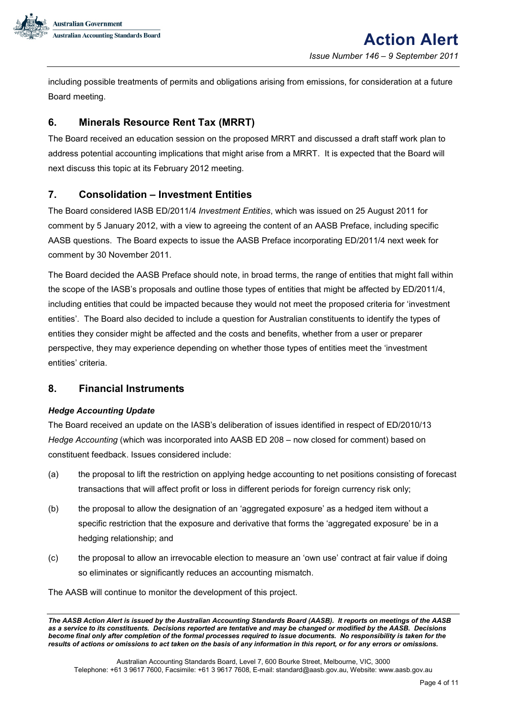

including possible treatments of permits and obligations arising from emissions, for consideration at a future Board meeting.

# <span id="page-3-0"></span>**6. Minerals Resource Rent Tax (MRRT)**

The Board received an education session on the proposed MRRT and discussed a draft staff work plan to address potential accounting implications that might arise from a MRRT. It is expected that the Board will next discuss this topic at its February 2012 meeting.

# <span id="page-3-1"></span>**7. Consolidation – Investment Entities**

The Board considered IASB ED/2011/4 *Investment Entities*, which was issued on 25 August 2011 for comment by 5 January 2012, with a view to agreeing the content of an AASB Preface, including specific AASB questions. The Board expects to issue the AASB Preface incorporating ED/2011/4 next week for comment by 30 November 2011.

The Board decided the AASB Preface should note, in broad terms, the range of entities that might fall within the scope of the IASB's proposals and outline those types of entities that might be affected by ED/2011/4, including entities that could be impacted because they would not meet the proposed criteria for 'investment entities'. The Board also decided to include a question for Australian constituents to identify the types of entities they consider might be affected and the costs and benefits, whether from a user or preparer perspective, they may experience depending on whether those types of entities meet the 'investment entities' criteria.

#### **8. Financial Instruments**

#### *Hedge Accounting Update*

The Board received an update on the IASB's deliberation of issues identified in respect of ED/2010/13 *Hedge Accounting* (which was incorporated into AASB ED 208 – now closed for comment) based on constituent feedback. Issues considered include:

- (a) the proposal to lift the restriction on applying hedge accounting to net positions consisting of forecast transactions that will affect profit or loss in different periods for foreign currency risk only;
- (b) the proposal to allow the designation of an 'aggregated exposure' as a hedged item without a specific restriction that the exposure and derivative that forms the 'aggregated exposure' be in a hedging relationship; and
- (c) the proposal to allow an irrevocable election to measure an 'own use' contract at fair value if doing so eliminates or significantly reduces an accounting mismatch.

The AASB will continue to monitor the development of this project.

*The AASB Action Alert is issued by the Australian Accounting Standards Board (AASB). It reports on meetings of the AASB as a service to its constituents. Decisions reported are tentative and may be changed or modified by the AASB. Decisions become final only after completion of the formal processes required to issue documents. No responsibility is taken for the results of actions or omissions to act taken on the basis of any information in this report, or for any errors or omissions***.**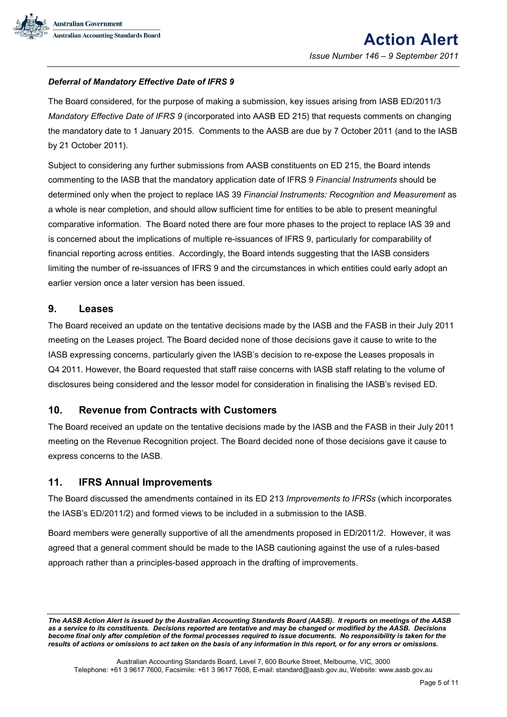

#### *Deferral of Mandatory Effective Date of IFRS 9*

The Board considered, for the purpose of making a submission, key issues arising from IASB ED/2011/3 *Mandatory Effective Date of IFRS 9* (incorporated into AASB ED 215) that requests comments on changing the mandatory date to 1 January 2015. Comments to the AASB are due by 7 October 2011 (and to the IASB by 21 October 2011).

Subject to considering any further submissions from AASB constituents on ED 215, the Board intends commenting to the IASB that the mandatory application date of IFRS 9 *Financial Instruments* should be determined only when the project to replace IAS 39 *Financial Instruments: Recognition and Measurement* as a whole is near completion, and should allow sufficient time for entities to be able to present meaningful comparative information. The Board noted there are four more phases to the project to replace IAS 39 and is concerned about the implications of multiple re-issuances of IFRS 9, particularly for comparability of financial reporting across entities. Accordingly, the Board intends suggesting that the IASB considers limiting the number of re-issuances of IFRS 9 and the circumstances in which entities could early adopt an earlier version once a later version has been issued.

#### **9. Leases**

The Board received an update on the tentative decisions made by the IASB and the FASB in their July 2011 meeting on the Leases project. The Board decided none of those decisions gave it cause to write to the IASB expressing concerns, particularly given the IASB's decision to re-expose the Leases proposals in Q4 2011. However, the Board requested that staff raise concerns with IASB staff relating to the volume of disclosures being considered and the lessor model for consideration in finalising the IASB's revised ED.

#### **10. Revenue from Contracts with Customers**

The Board received an update on the tentative decisions made by the IASB and the FASB in their July 2011 meeting on the Revenue Recognition project. The Board decided none of those decisions gave it cause to express concerns to the IASB.

#### **11. IFRS Annual Improvements**

The Board discussed the amendments contained in its ED 213 *Improvements to IFRSs* (which incorporates the IASB's ED/2011/2) and formed views to be included in a submission to the IASB.

Board members were generally supportive of all the amendments proposed in ED/2011/2. However, it was agreed that a general comment should be made to the IASB cautioning against the use of a rules-based approach rather than a principles-based approach in the drafting of improvements.

*The AASB Action Alert is issued by the Australian Accounting Standards Board (AASB). It reports on meetings of the AASB as a service to its constituents. Decisions reported are tentative and may be changed or modified by the AASB. Decisions become final only after completion of the formal processes required to issue documents. No responsibility is taken for the results of actions or omissions to act taken on the basis of any information in this report, or for any errors or omissions***.**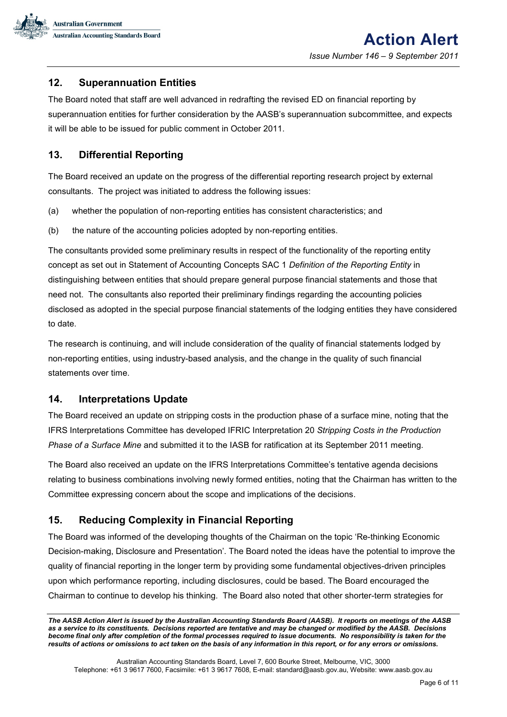

# <span id="page-5-1"></span>**12. Superannuation Entities**

The Board noted that staff are well advanced in redrafting the revised ED on financial reporting by superannuation entities for further consideration by the AASB's superannuation subcommittee, and expects it will be able to be issued for public comment in October 2011.

# <span id="page-5-2"></span>**13. Differential Reporting**

The Board received an update on the progress of the differential reporting research project by external consultants. The project was initiated to address the following issues:

- (a) whether the population of non-reporting entities has consistent characteristics; and
- (b) the nature of the accounting policies adopted by non-reporting entities.

The consultants provided some preliminary results in respect of the functionality of the reporting entity concept as set out in Statement of Accounting Concepts SAC 1 *Definition of the Reporting Entity* in distinguishing between entities that should prepare general purpose financial statements and those that need not. The consultants also reported their preliminary findings regarding the accounting policies disclosed as adopted in the special purpose financial statements of the lodging entities they have considered to date.

The research is continuing, and will include consideration of the quality of financial statements lodged by non-reporting entities, using industry-based analysis, and the change in the quality of such financial statements over time.

#### <span id="page-5-0"></span>**14. Interpretations Update**

The Board received an update on stripping costs in the production phase of a surface mine, noting that the IFRS Interpretations Committee has developed IFRIC Interpretation 20 *Stripping Costs in the Production Phase of a Surface Mine* and submitted it to the IASB for ratification at its September 2011 meeting.

The Board also received an update on the IFRS Interpretations Committee's tentative agenda decisions relating to business combinations involving newly formed entities, noting that the Chairman has written to the Committee expressing concern about the scope and implications of the decisions.

# <span id="page-5-3"></span>**15. Reducing Complexity in Financial Reporting**

The Board was informed of the developing thoughts of the Chairman on the topic 'Re-thinking Economic Decision-making, Disclosure and Presentation'. The Board noted the ideas have the potential to improve the quality of financial reporting in the longer term by providing some fundamental objectives-driven principles upon which performance reporting, including disclosures, could be based. The Board encouraged the Chairman to continue to develop his thinking. The Board also noted that other shorter-term strategies for

*The AASB Action Alert is issued by the Australian Accounting Standards Board (AASB). It reports on meetings of the AASB as a service to its constituents. Decisions reported are tentative and may be changed or modified by the AASB. Decisions become final only after completion of the formal processes required to issue documents. No responsibility is taken for the results of actions or omissions to act taken on the basis of any information in this report, or for any errors or omissions***.**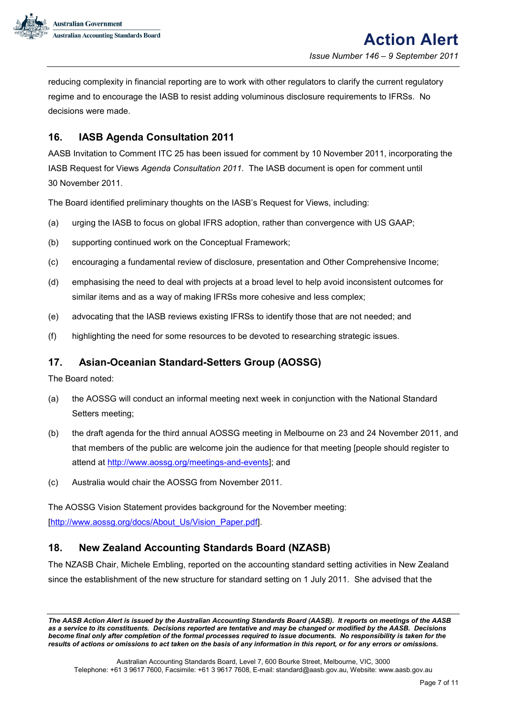

reducing complexity in financial reporting are to work with other regulators to clarify the current regulatory regime and to encourage the IASB to resist adding voluminous disclosure requirements to IFRSs. No decisions were made.

# <span id="page-6-0"></span>**16. IASB Agenda Consultation 2011**

AASB Invitation to Comment ITC 25 has been issued for comment by 10 November 2011, incorporating the IASB Request for Views *Agenda Consultation 2011.* The IASB document is open for comment until 30 November 2011.

The Board identified preliminary thoughts on the IASB's Request for Views, including:

- (a) urging the IASB to focus on global IFRS adoption, rather than convergence with US GAAP;
- (b) supporting continued work on the Conceptual Framework;
- (c) encouraging a fundamental review of disclosure, presentation and Other Comprehensive Income;
- (d) emphasising the need to deal with projects at a broad level to help avoid inconsistent outcomes for similar items and as a way of making IFRSs more cohesive and less complex;
- (e) advocating that the IASB reviews existing IFRSs to identify those that are not needed; and
- (f) highlighting the need for some resources to be devoted to researching strategic issues.

# <span id="page-6-1"></span>**17. Asian-Oceanian Standard-Setters Group (AOSSG)**

The Board noted:

- (a) the AOSSG will conduct an informal meeting next week in conjunction with the National Standard Setters meeting;
- (b) the draft agenda for the third annual AOSSG meeting in Melbourne on 23 and 24 November 2011, and that members of the public are welcome join the audience for that meeting [people should register to attend at [http://www.aossg.org/meetings-and-events\]](http://www.aossg.org/meetings-and-events); and
- (c) Australia would chair the AOSSG from November 2011.

The AOSSG Vision Statement provides background for the November meeting: [\[http://www.aossg.org/docs/About\\_Us/Vision\\_Paper.pdf\]](http://www.aossg.org/docs/About_Us/Vision_Paper.pdf).

# <span id="page-6-2"></span>**18. New Zealand Accounting Standards Board (NZASB)**

The NZASB Chair, Michele Embling, reported on the accounting standard setting activities in New Zealand since the establishment of the new structure for standard setting on 1 July 2011. She advised that the

*The AASB Action Alert is issued by the Australian Accounting Standards Board (AASB). It reports on meetings of the AASB as a service to its constituents. Decisions reported are tentative and may be changed or modified by the AASB. Decisions become final only after completion of the formal processes required to issue documents. No responsibility is taken for the results of actions or omissions to act taken on the basis of any information in this report, or for any errors or omissions***.**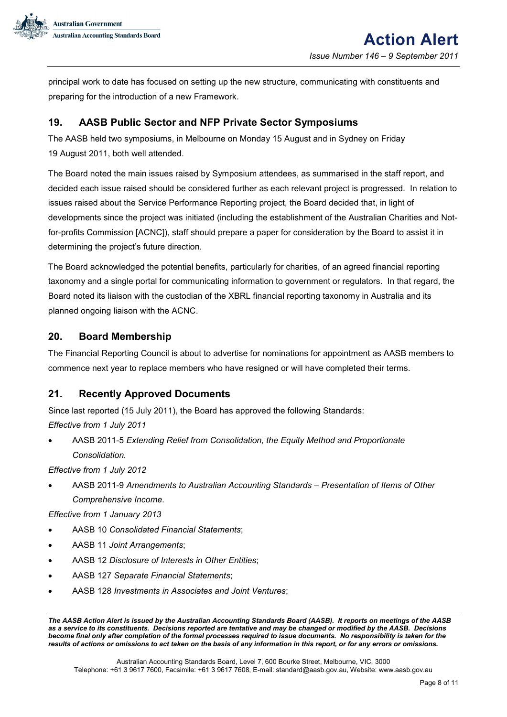

principal work to date has focused on setting up the new structure, communicating with constituents and preparing for the introduction of a new Framework.

# <span id="page-7-0"></span>**19. AASB Public Sector and NFP Private Sector Symposiums**

The AASB held two symposiums, in Melbourne on Monday 15 August and in Sydney on Friday 19 August 2011, both well attended.

The Board noted the main issues raised by Symposium attendees, as summarised in the staff report, and decided each issue raised should be considered further as each relevant project is progressed. In relation to issues raised about the Service Performance Reporting project, the Board decided that, in light of developments since the project was initiated (including the establishment of the Australian Charities and Notfor-profits Commission [ACNC]), staff should prepare a paper for consideration by the Board to assist it in determining the project's future direction.

The Board acknowledged the potential benefits, particularly for charities, of an agreed financial reporting taxonomy and a single portal for communicating information to government or regulators. In that regard, the Board noted its liaison with the custodian of the XBRL financial reporting taxonomy in Australia and its planned ongoing liaison with the ACNC.

# **20. Board Membership**

The Financial Reporting Council is about to advertise for nominations for appointment as AASB members to commence next year to replace members who have resigned or will have completed their terms.

# <span id="page-7-1"></span>**21. Recently Approved Documents**

Since last reported (15 July 2011), the Board has approved the following Standards:

*Effective from 1 July 2011*

• AASB 2011-5 *Extending Relief from Consolidation, the Equity Method and Proportionate Consolidation.*

*Effective from 1 July 2012*

• AASB 2011-9 *Amendments to Australian Accounting Standards – Presentation of Items of Other Comprehensive Income*.

*Effective from 1 January 2013*

- AASB 10 *Consolidated Financial Statements*;
- AASB 11 *Joint Arrangements*;
- AASB 12 *Disclosure of Interests in Other Entities*;
- AASB 127 *Separate Financial Statements*;
- AASB 128 *Investments in Associates and Joint Ventures*;

*The AASB Action Alert is issued by the Australian Accounting Standards Board (AASB). It reports on meetings of the AASB as a service to its constituents. Decisions reported are tentative and may be changed or modified by the AASB. Decisions become final only after completion of the formal processes required to issue documents. No responsibility is taken for the results of actions or omissions to act taken on the basis of any information in this report, or for any errors or omissions***.**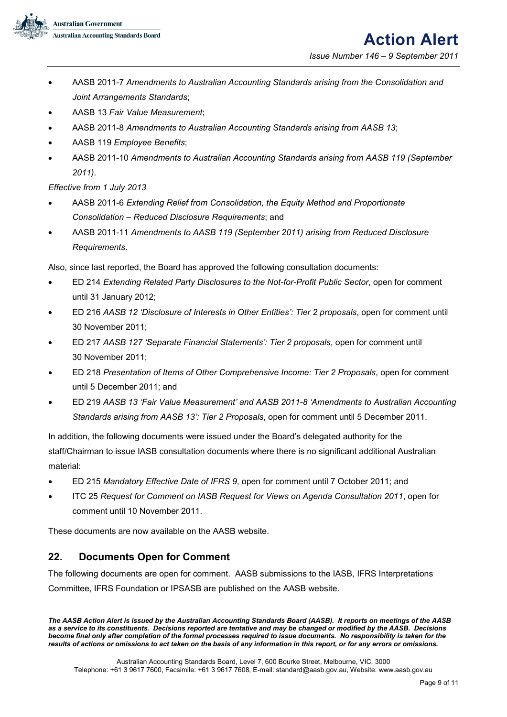

*Issue Number 146 – 9 September 2011*

- AASB 2011-7 *Amendments to Australian Accounting Standards arising from the Consolidation and Joint Arrangements Standards*;
- AASB 13 *Fair Value Measurement*;
- AASB 2011-8 *Amendments to Australian Accounting Standards arising from AASB 13*;
- AASB 119 *Employee Benefits*;
- AASB 2011-10 *Amendments to Australian Accounting Standards arising from AASB 119 (September 2011)*.

*Effective from 1 July 2013*

- AASB 2011-6 *Extending Relief from Consolidation, the Equity Method and Proportionate Consolidation – Reduced Disclosure Requirements*; and
- AASB 2011-11 *Amendments to AASB 119 (September 2011) arising from Reduced Disclosure Requirements*.

Also, since last reported, the Board has approved the following consultation documents:

- ED 214 *Extending Related Party Disclosures to the Not-for-Profit Public Sector*, open for comment until 31 January 2012;
- ED 216 *AASB 12 'Disclosure of Interests in Other Entities': Tier 2 proposals*, open for comment until 30 November 2011;
- ED 217 *AASB 127 'Separate Financial Statements': Tier 2 proposals*, open for comment until 30 November 2011;
- ED 218 *Presentation of Items of Other Comprehensive Income: Tier 2 Proposals*, open for comment until 5 December 2011; and
- ED 219 *AASB 13 'Fair Value Measurement' and AASB 2011-8 'Amendments to Australian Accounting Standards arising from AASB 13': Tier 2 Proposals*, open for comment until 5 December 2011.

In addition, the following documents were issued under the Board's delegated authority for the staff/Chairman to issue IASB consultation documents where there is no significant additional Australian material:

- ED 215 *Mandatory Effective Date of IFRS 9*, open for comment until 7 October 2011; and
- ITC 25 *Request for Comment on IASB Request for Views on Agenda Consultation 2011*, open for comment until 10 November 2011.

These documents are now available on the AASB website.

# <span id="page-8-0"></span>**22. Documents Open for Comment**

The following documents are open for comment. AASB submissions to the IASB, IFRS Interpretations Committee, IFRS Foundation or IPSASB are published on the AASB website.

*The AASB Action Alert is issued by the Australian Accounting Standards Board (AASB). It reports on meetings of the AASB as a service to its constituents. Decisions reported are tentative and may be changed or modified by the AASB. Decisions become final only after completion of the formal processes required to issue documents. No responsibility is taken for the results of actions or omissions to act taken on the basis of any information in this report, or for any errors or omissions***.**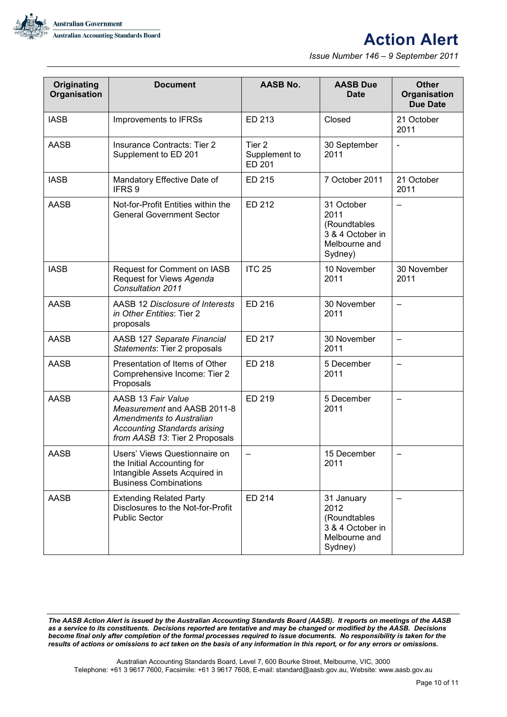

# **Action Alert**

*Issue Number 146 – 9 September 2011*

| Originating<br><b>Organisation</b> | <b>Document</b>                                                                                                                                        | <b>AASB No.</b>                              | <b>AASB Due</b><br><b>Date</b>                                                     | <b>Other</b><br>Organisation<br><b>Due Date</b> |
|------------------------------------|--------------------------------------------------------------------------------------------------------------------------------------------------------|----------------------------------------------|------------------------------------------------------------------------------------|-------------------------------------------------|
| <b>IASB</b>                        | Improvements to IFRSs                                                                                                                                  | ED 213                                       | Closed                                                                             | 21 October<br>2011                              |
| <b>AASB</b>                        | Insurance Contracts: Tier 2<br>Supplement to ED 201                                                                                                    | Tier <sub>2</sub><br>Supplement to<br>ED 201 | 30 September<br>2011                                                               |                                                 |
| <b>IASB</b>                        | Mandatory Effective Date of<br>IFRS <sub>9</sub>                                                                                                       | ED 215                                       | 7 October 2011                                                                     | 21 October<br>2011                              |
| <b>AASB</b>                        | Not-for-Profit Entities within the<br><b>General Government Sector</b>                                                                                 | ED 212                                       | 31 October<br>2011<br>(Roundtables<br>3 & 4 October in<br>Melbourne and<br>Sydney) |                                                 |
| <b>IASB</b>                        | Request for Comment on IASB<br>Request for Views Agenda<br>Consultation 2011                                                                           | <b>ITC 25</b>                                | 10 November<br>2011                                                                | 30 November<br>2011                             |
| <b>AASB</b>                        | AASB 12 Disclosure of Interests<br><i>in Other Entities: Tier 2</i><br>proposals                                                                       | ED 216                                       | 30 November<br>2011                                                                |                                                 |
| <b>AASB</b>                        | AASB 127 Separate Financial<br>Statements: Tier 2 proposals                                                                                            | ED 217                                       | 30 November<br>2011                                                                | —                                               |
| <b>AASB</b>                        | Presentation of Items of Other<br>Comprehensive Income: Tier 2<br>Proposals                                                                            | ED 218                                       | 5 December<br>2011                                                                 |                                                 |
| <b>AASB</b>                        | AASB 13 Fair Value<br>Measurement and AASB 2011-8<br>Amendments to Australian<br><b>Accounting Standards arising</b><br>from AASB 13: Tier 2 Proposals | ED 219                                       | 5 December<br>2011                                                                 |                                                 |
| AASB                               | Users' Views Questionnaire on<br>the Initial Accounting for<br>Intangible Assets Acquired in<br><b>Business Combinations</b>                           |                                              | 15 December<br>2011                                                                |                                                 |
| <b>AASB</b>                        | <b>Extending Related Party</b><br>Disclosures to the Not-for-Profit<br><b>Public Sector</b>                                                            | ED 214                                       | 31 January<br>2012<br>(Roundtables<br>3 & 4 October in<br>Melbourne and<br>Sydney) |                                                 |

*The AASB Action Alert is issued by the Australian Accounting Standards Board (AASB). It reports on meetings of the AASB as a service to its constituents. Decisions reported are tentative and may be changed or modified by the AASB. Decisions become final only after completion of the formal processes required to issue documents. No responsibility is taken for the results of actions or omissions to act taken on the basis of any information in this report, or for any errors or omissions***.**